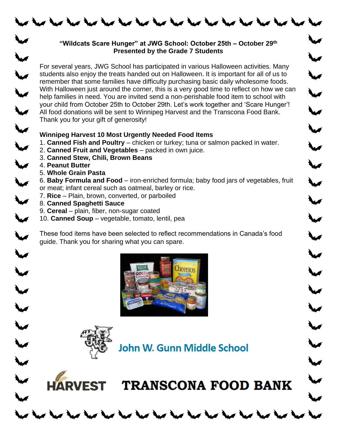

## **"Wildcats Scare Hunger" at JWG School: October 25th – October 29th Presented by the Grade 7 Students**

For several years, JWG School has participated in various Halloween activities. Many students also enjoy the treats handed out on Halloween. It is important for all of us to remember that some families have difficulty purchasing basic daily wholesome foods. With Halloween just around the corner, this is a very good time to reflect on how we can help families in need. You are invited send a non‐perishable food item to school with your child from October 25th to October 29th. Let's work together and 'Scare Hunger'! All food donations will be sent to Winnipeg Harvest and the Transcona Food Bank. Thank you for your gift of generosity!

## **Winnipeg Harvest 10 Most Urgently Needed Food Items**

- 1. **Canned Fish and Poultry**  chicken or turkey; tuna or salmon packed in water.
- 2. **Canned Fruit and Vegetables**  packed in own juice.
- 3. **Canned Stew, Chili, Brown Beans**
- 4. **Peanut Butter**

 $\leq$ 

 $5225$ 

 $\overline{\mathbf{v}}$ 

 $\ddot{\phantom{1}}$ 

 $\ddot{\phantom{0}}$ 

 $\ddot{\phantom{1}}$ 

 $\ddot{\phantom{0}}$ 

W

 $\blacktriangledown$ 

 $\ddot{}$ 

₩

W

- 5. **Whole Grain Pasta**
- 6. **Baby Formula and Food**  iron-enriched formula; baby food jars of vegetables, fruit or meat; infant cereal such as oatmeal, barley or rice.

**Aug** 

W

 $\ddot{\phantom{0}}$ 

 $\overline{\phantom{a}}$ 

- 7. **Rice**  Plain, brown, converted, or parboiled
- 8. **Canned Spaghetti Sauce**

**HARVEST** 

- 9. **Cereal**  plain, fiber, non-sugar coated
- 10. **Canned Soup**  vegetable, tomato, lentil, pea

These food items have been selected to reflect recommendations in Canada's food guide. Thank you for sharing what you can spare.



John W. Gunn Middle School

 $\sim$  for the fact that that there that the  $\sim$ 

**TRANSCONA FOOD BANK**